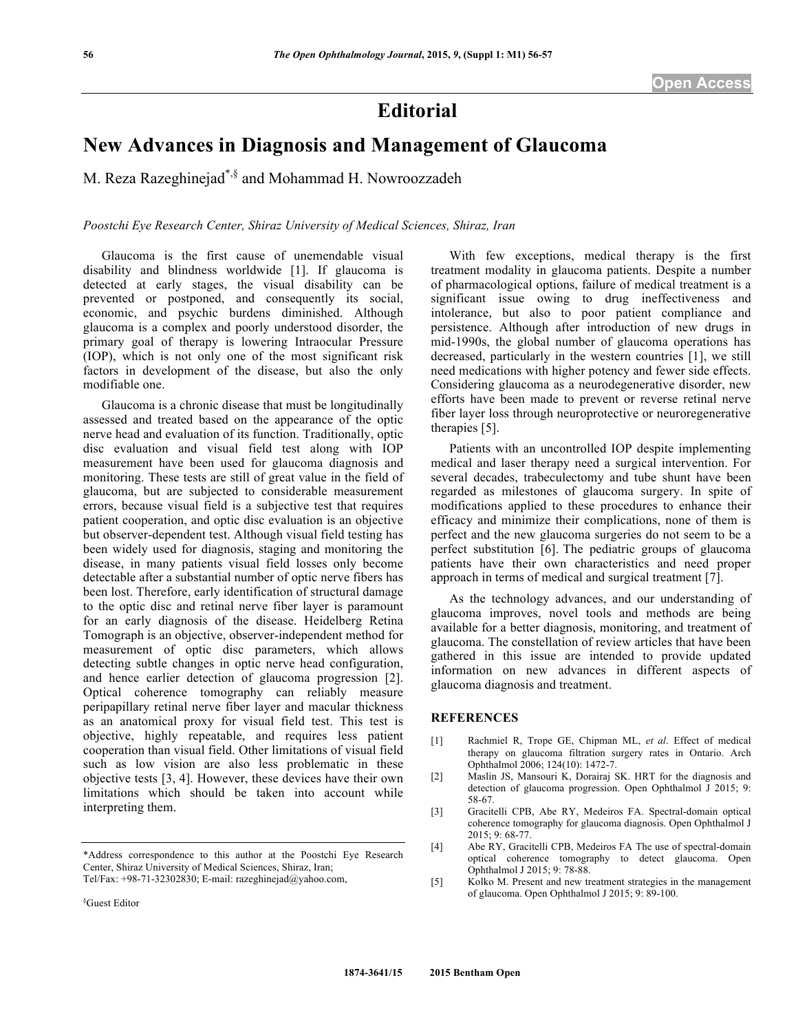## **Editorial**

## **New Advances in Diagnosis and Management of Glaucoma**

M. Reza Razeghinejad\*,§ and Mohammad H. Nowroozzadeh

*Poostchi Eye Research Center, Shiraz University of Medical Sciences, Shiraz, Iran*

Glaucoma is the first cause of unemendable visual disability and blindness worldwide [1]. If glaucoma is detected at early stages, the visual disability can be prevented or postponed, and consequently its social, economic, and psychic burdens diminished. Although glaucoma is a complex and poorly understood disorder, the primary goal of therapy is lowering Intraocular Pressure (IOP), which is not only one of the most significant risk factors in development of the disease, but also the only modifiable one.

Glaucoma is a chronic disease that must be longitudinally assessed and treated based on the appearance of the optic nerve head and evaluation of its function. Traditionally, optic disc evaluation and visual field test along with IOP measurement have been used for glaucoma diagnosis and monitoring. These tests are still of great value in the field of glaucoma, but are subjected to considerable measurement errors, because visual field is a subjective test that requires patient cooperation, and optic disc evaluation is an objective but observer-dependent test. Although visual field testing has been widely used for diagnosis, staging and monitoring the disease, in many patients visual field losses only become detectable after a substantial number of optic nerve fibers has been lost. Therefore, early identification of structural damage to the optic disc and retinal nerve fiber layer is paramount for an early diagnosis of the disease. Heidelberg Retina Tomograph is an objective, observer-independent method for measurement of optic disc parameters, which allows detecting subtle changes in optic nerve head configuration, and hence earlier detection of glaucoma progression [2]. Optical coherence tomography can reliably measure peripapillary retinal nerve fiber layer and macular thickness as an anatomical proxy for visual field test. This test is objective, highly repeatable, and requires less patient cooperation than visual field. Other limitations of visual field such as low vision are also less problematic in these objective tests [3, 4]. However, these devices have their own limitations which should be taken into account while interpreting them.

With few exceptions, medical therapy is the first treatment modality in glaucoma patients. Despite a number of pharmacological options, failure of medical treatment is a significant issue owing to drug ineffectiveness and intolerance, but also to poor patient compliance and persistence. Although after introduction of new drugs in mid-1990s, the global number of glaucoma operations has decreased, particularly in the western countries [1], we still need medications with higher potency and fewer side effects. Considering glaucoma as a neurodegenerative disorder, new efforts have been made to prevent or reverse retinal nerve fiber layer loss through neuroprotective or neuroregenerative therapies [5].

Patients with an uncontrolled IOP despite implementing medical and laser therapy need a surgical intervention. For several decades, trabeculectomy and tube shunt have been regarded as milestones of glaucoma surgery. In spite of modifications applied to these procedures to enhance their efficacy and minimize their complications, none of them is perfect and the new glaucoma surgeries do not seem to be a perfect substitution [6]. The pediatric groups of glaucoma patients have their own characteristics and need proper approach in terms of medical and surgical treatment [7].

As the technology advances, and our understanding of glaucoma improves, novel tools and methods are being available for a better diagnosis, monitoring, and treatment of glaucoma. The constellation of review articles that have been gathered in this issue are intended to provide updated information on new advances in different aspects of glaucoma diagnosis and treatment.

## **REFERENCES**

- [1] Rachmiel R, Trope GE, Chipman ML, *et al*. Effect of medical therapy on glaucoma filtration surgery rates in Ontario. Arch Ophthalmol 2006; 124(10): 1472-7.
- [2] Maslin JS, Mansouri K, Dorairaj SK. HRT for the diagnosis and detection of glaucoma progression. Open Ophthalmol J 2015; 9: 58-67.
- [3] Gracitelli CPB, Abe RY, Medeiros FA. Spectral-domain optical coherence tomography for glaucoma diagnosis. Open Ophthalmol J 2015; 9: 68-77.
- [4] Abe RY, Gracitelli CPB, Medeiros FA The use of spectral-domain optical coherence tomography to detect glaucoma. Open Ophthalmol J 2015; 9: 78-88.
- [5] Kolko M. Present and new treatment strategies in the management of glaucoma. Open Ophthalmol J 2015; 9: 89-100.

<sup>\*</sup>Address correspondence to this author at the Poostchi Eye Research Center, Shiraz University of Medical Sciences, Shiraz, Iran; Tel/Fax: +98-71-32302830; E-mail: razeghinejad@yahoo.com,

<sup>§</sup> Guest Editor